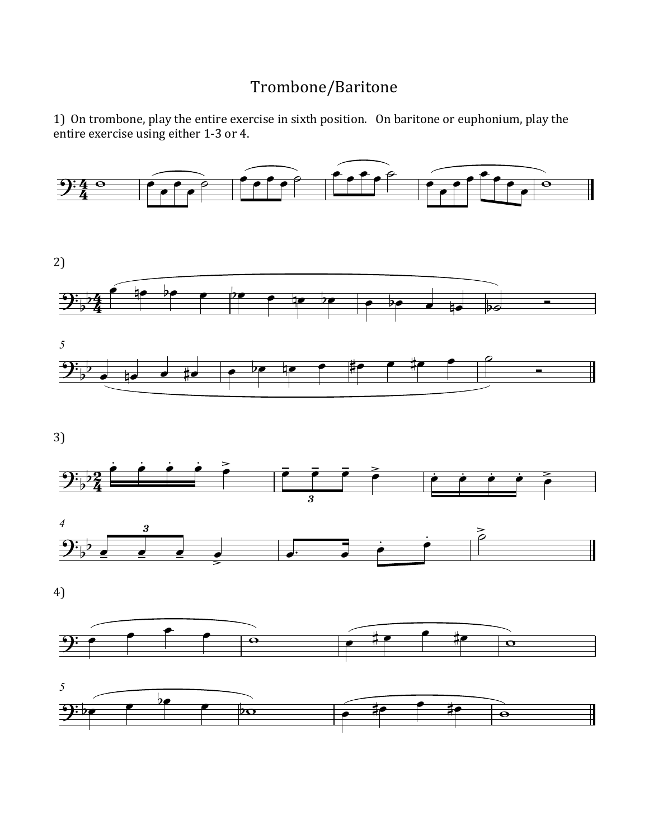## Trombone/Baritone

1) On trombone, play the entire exercise in sixth position. On baritone or euphonium, play the entire exercise using either 1-3 or 4.